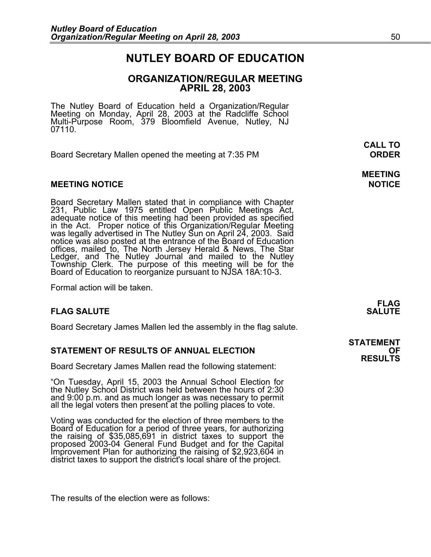### **NUTLEY BOARD OF EDUCATION**

### **ORGANIZATION/REGULAR MEETING APRIL 28, 2003**

**MEETING** 

The Nutley Board of Education held a Organization/Regular<br>Meeting on Monday, April 28, 2003 at the Radcliffe School Multi-Purpose Room, 379 Bloomfield Avenue, Nutley, NJ 07110.

Board Secretary Mallen opened the meeting at 7:35 PM **ORDER**

### **MEETING NOTICE NOTICE AND INSTRUMENT IN A SET ON A SET ON A SET ON A SET ON A SET ON A SET ON A SET ON A SET O**

Board Secretary Mallen stated that in compliance with Chapter 231, Public Law 1975 entitled Open Public Meetings Act, adequate notice of this meeting had been provided as specified in the Act. Proper notice of this Organization/Regular Meeting was legally advertised in The Nutley Sun offices, mailed to, The North Jersey Herald & News, The Star<br>Ledger, and The Nutley Journal and mailed to the Nutley Ledger, and The Nutley Journal and mailed to the Nutley<br>Township Clerk. The purpose of this meeting will be for the Board of Education to reorganize pursuant to NJSA 18A:10-3.

Formal action will be taken.

### **FLAG SALUTE SALUTE SALUTE**

Board Secretary James Mallen led the assembly in the flag salute.

### **STATEMENT OF RESULTS OF ANNUAL ELECTION OF**

Board Secretary James Mallen read the following statement:

"On Tuesday, April 15, 2003 the Annual School Election for the Nutley School District was held between the hours of 2:30 and 9:00 p.m. and as much longer as was necessary to permit all the legal voters then present at the polling places to vote.

Voting was conducted for the election of three members to the Board of Education for a period of three years, for authorizing the raising of \$35,085,691 in district taxes to support the<br>proposed 2003-04 General Fund Budget and for the Capital<br>Improvement Plan for authorizing the raising of \$2,923,604 in<br>district taxes to support the district's lo

The results of the election were as follows:

**FLAG** 

**STATEMENT RESULTS** 

 **CALL TO**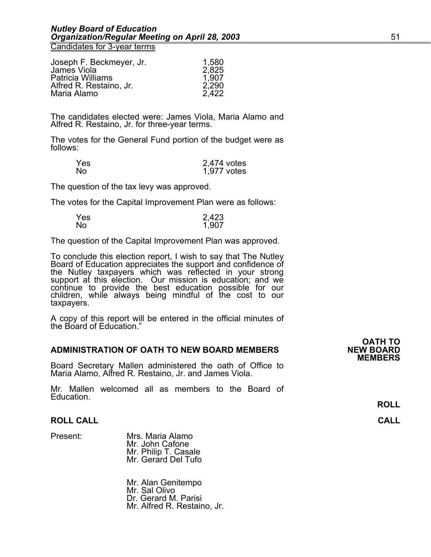Candidates for 3-year terms

| Joseph F. Beckmeyer, Jr. | 1,580 |
|--------------------------|-------|
| James Viola              | 2,825 |
| <b>Patricia Williams</b> | 1,907 |
| Alfred R. Restaino, Jr.  | 2,290 |
| Maria Alamo              | 2,422 |

The candidates elected were: James Viola, Maria Alamo and Alfred R. Restaino, Jr. for three-year terms.

The votes for the General Fund portion of the budget were as follows:

| Yes. | 2,474 votes |
|------|-------------|
| No   | 1,977 votes |

The question of the tax levy was approved.

The votes for the Capital Improvement Plan were as follows:

| <b>Yes</b> | 2,423 |
|------------|-------|
| No         | 1,907 |

The question of the Capital Improvement Plan was approved.

To conclude this election report, I wish to say that The Nutley Board of Education appreciates the support and confidence of the Nutley taxpayers which was reflected in your strong<br>support at this election. Our mission is education; and we continue to provide the best education possible for our children, while always being mindful of the cost to our taxpayers.

A copy of this report will be entered in the official minutes of the Board of Education."

#### **ADMINISTRATION OF OATH TO NEW BOARD MEMBERS**

Board Secretary Mallen administered the oath of Office to Maria Alamo, Alfred R. Restaino, Jr. and James Viola.

Mr. Mallen welcomed all as members to the Board of Education.

### **ROLL CALL CALL**

Present: Mrs. Maria Alamo Mr. John Cafone Mr. Philip T. Casale Mr. Gerard Del Tufo

> Mr. Alan Genitempo Mr. Sal Olivo Dr. Gerard M. Parisi Mr. Alfred R. Restaino, Jr.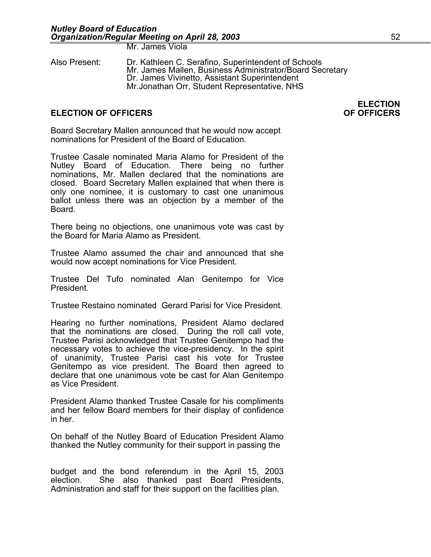Mr. James Viola

Also Present: Dr. Kathleen C. Serafino, Superintendent of Schools Mr. James Mallen, Business Administrator/Board Secretary<br>Dr. James Vivinetto, Assistant Superintendent Mr.Jonathan Orr, Student Representative, NHS

### **ELECTION OF OFFICERS OF OFFICERS**

Board Secretary Mallen announced that he would now accept nominations for President of the Board of Education.

Trustee Casale nominated Maria Alamo for President of the Nutley Board of Education. There being no further nominations, Mr. Mallen declared that the nominations are closed. Board Secretary Mallen explained that when there is only one nominee, it is customary to cast one unanimous ballot unless there was an objection by a member of the Board.

There being no objections, one unanimous vote was cast by the Board for Maria Alamo as President.

Trustee Alamo assumed the chair and announced that she would now accept nominations for Vice President.

Trustee Del Tufo nominated Alan Genitempo for Vice President.

Trustee Restaino nominated Gerard Parisi for Vice President.

Hearing no further nominations, President Alamo declared that the nominations are closed. During the roll call vote, Trustee Parisi acknowledged that Trustee Genitempo had the necessary votes to achieve the vice-presidency. In the spirit of unanimity, Trustee Parisi cast his vote for Trustee Genitempo as vice president. The Board then agreed to declare that one unanimous vote be cast for Alan Genitempo as Vice President.

President Alamo thanked Trustee Casale for his compliments and her fellow Board members for their display of confidence in her.

On behalf of the Nutley Board of Education President Alamo thanked the Nutley community for their support in passing the

budget and the bond referendum in the April 15, 2003 election. She also thanked past Board Presidents, Administration and staff for their support on the facilities plan.

**ELECTION**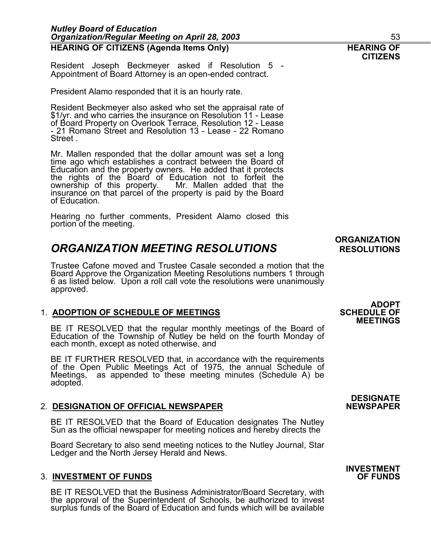| the rights of the Board of Education not to forfeit the<br>ownership of this property. Mr. Mallen added that the<br>insurance on that parcel of the property is paid by the Board<br>of Education.                                   |                                                       |
|--------------------------------------------------------------------------------------------------------------------------------------------------------------------------------------------------------------------------------------|-------------------------------------------------------|
| Hearing no further comments, President Alamo closed this<br>portion of the meeting.                                                                                                                                                  |                                                       |
| <b>ORGANIZATION MEETING RESOLUTIONS</b>                                                                                                                                                                                              | <b>ORGANIZATION</b><br><b>RESOLUTIONS</b>             |
| Trustee Cafone moved and Trustee Casale seconded a motion that the<br>Board Approve the Organization Meeting Resolutions numbers 1 through<br>6 as listed below. Upon a roll call vote the resolutions were unanimously<br>approved. |                                                       |
| 1. ADOPTION OF SCHEDULE OF MEETINGS                                                                                                                                                                                                  | <b>ADOPT</b><br><b>SCHEDULE OF</b><br><b>MEETINGS</b> |
| BE IT RESOLVED that the regular monthly meetings of the Board of<br>Education of the Township of Nutley be held on the fourth Monday of<br>each month, except as noted otherwise, and                                                |                                                       |

BE IT FURTHER RESOLVED that, in accordance with the requirements of the Open Public Meetings Act of 1975, the annual Schedule of Meetings, as appended to these meeting minutes (Schedule A) be adopted.

### 2. **DESIGNATION OF OFFICIAL NEWSPAPER**

BE IT RESOLVED that the Board of Education designates The Nutley Sun as the official newspaper for meeting notices and hereby directs the

Board Secretary to also send meeting notices to the Nutley Journal, Star Ledger and the North Jersey Herald and News.

### **3. INVESTMENT OF FUNDS**

BE IT RESOLVED that the Business Administrator/Board Secretary, with the approval of the Superintendent of Schools, be authorized to invest surplus funds of the Board of Education and funds which will be available **DESIGNATE** 

# **INVESTMENT**

Resident Joseph Beckmeyer asked if Resolution 5 - Appointment of Board Attorney is an open-ended contract.

President Alamo responded that it is an hourly rate.

Resident Beckmeyer also asked who set the appraisal rate of \$1/yr. and who carries the insurance on Resolution 11 - Lease of Board Property on Overlook Terrace, Resolution 12 - Lease - 21 Romano Street and Resolution 13 - Lease - 22 Romano Street .

# **CITIZENS**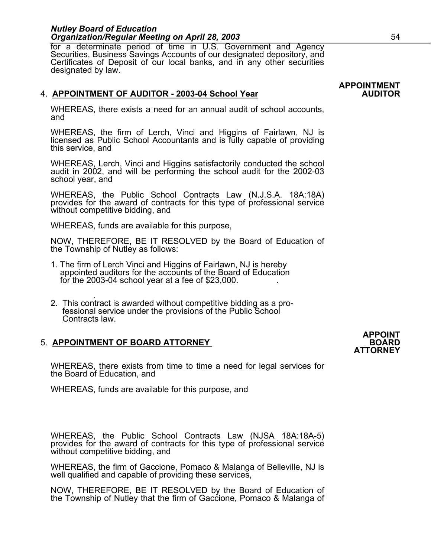for a determinate period of time in U.S. Government and Agency<br>Securities, Business Savings Accounts of our designated depository, and<br>Certificates of Deposit of our local banks, and in any other securities<br>designated by l

### 4. APPOINTMENT OF AUDITOR - 2003-04 School Year

WHEREAS, there exists a need for an annual audit of school accounts, and

WHEREAS, the firm of Lerch, Vinci and Higgins of Fairlawn, NJ is licensed as Public School Accountants and is fully capable of providing this service, and

WHEREAS, Lerch, Vinci and Higgins satisfactorily conducted the school audit in 2002, and will be performing the school audit for the 2002-03 school year, and

WHEREAS, the Public School Contracts Law (N.J.S.A. 18A:18A) provides for the award of contracts for this type of professional service without competitive bidding, and

WHEREAS, funds are available for this purpose,

NOW, THEREFORE, BE IT RESOLVED by the Board of Education of the Township of Nutley as follows:

- 1. The firm of Lerch Vinci and Higgins of Fairlawn, NJ is hereby appointed auditors for the accounts of the Board of Education for the 2003-04 school year at a fee of  $$23,000$ .
- . 2. This contract is awarded without competitive bidding as a pro- fessional service under the provisions of the Public School Contracts law.

### **5. APPOINTMENT OF BOARD ATTORNEY**

WHEREAS, there exists from time to time a need for legal services for the Board of Education, and

WHEREAS, funds are available for this purpose, and

WHEREAS, the Public School Contracts Law (NJSA 18A:18A-5) provides for the award of contracts for this type of professional service without competitive bidding, and

WHEREAS, the firm of Gaccione, Pomaco & Malanga of Belleville, NJ is well qualified and capable of providing these services,

NOW, THEREFORE, BE IT RESOLVED by the Board of Education of the Township of Nutley that the firm of Gaccione, Pomaco & Malanga of

# **APPOINTMENT**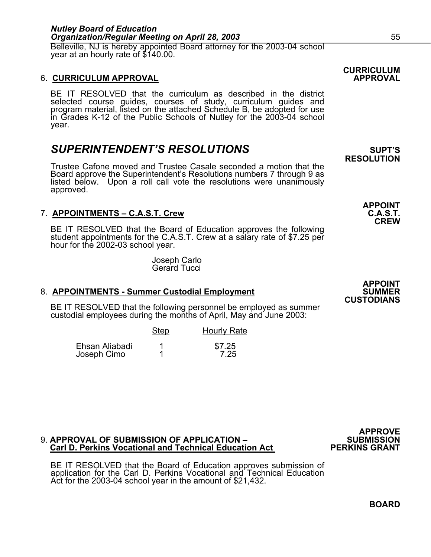Belleville, NJ is hereby appointed Board attorney for the 2003-04 school year at an hourly rate of \$140.00.

### 6. **CURRICULUM APPROVAL APPROVAL**

BE IT RESOLVED that the curriculum as described in the district selected course guides, courses of study, curriculum guides and program material, listed on the attached Schedule B, be adopted for use<br>in Grades K-12 of the Public Schools of Nutley for the 2003-04 school year.

### **SUPERINTENDENT'S RESOLUTIONS** SUPT'S

Trustee Cafone moved and Trustee Casale seconded a motion that the Board approve the Superintendent's Resolutions numbers 7 through 9 as listed below. Upon a roll call vote the resolutions were unanimously approved.

### 7. **APPOINTMENTS – C.A.S.T. Crew**

BE IT RESOLVED that the Board of Education approves the following student appointments for the C.A.S.T. Crew at a salary rate of \$7.25 per hour for the 2002-03 school year.

Joseph Carlo Gerard Tucci

### 8. **APPOINTMENTS - Summer Custodial Employment**

BE IT RESOLVED that the following personnel be employed as summer custodial employees during the months of April, May and June 2003:

|                               | <b>Step</b> | <b>Hourly Rate</b> |
|-------------------------------|-------------|--------------------|
| Ehsan Aliabadi<br>Joseph Cimo |             | \$7.25<br>7.25     |

### 9. **APPROVAL OF SUBMISSION OF APPLICATION – SUBMISSION Carl D. Perkins Vocational and Technical Education Act PERKINS GRANT**

BE IT RESOLVED that the Board of Education approves submission of application for the Carl D. Perkins Vocational and Technical Education Act for the 2003-04 school year in the amount of \$21,432.

**APPOINT** 

**CREW** 

**APPOINT CUSTODIANS** 

**CURRICULUM** 

**RESOLUTION** 

**BOARD** 

**APPROVE**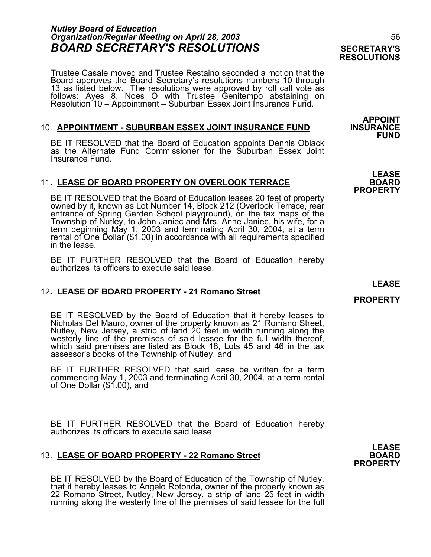### *Nutley Board of Education Organization/Regular Meeting on April 28, 2003* 56 **BOARD SECRETARY'S RESOLUTIONS** SECRETARY'S

Trustee Casale moved and Trustee Restaino seconded a motion that the 13 as listed below. The resolutions were approved by roll call vote as<br>follows: Ayes 8, Noes O with Trustee Genitempo abstaining on<br>Resolution 10 – Appointment – Suburban Essex Joint Insurance Fund.

### **10. APPOINTMENT - SUBURBAN ESSEX JOINT INSURANCE FUND**

BE IT RESOLVED that the Board of Education appoints Dennis Oblack as the Alternate Fund Commissioner for the Suburban Essex Joint Insurance Fund.

### 11**. LEASE OF BOARD PROPERTY ON OVERLOOK TERRACE BOARD**

BE IT RESOLVED that the Board of Education leases 20 feet of property owned by it, known as Lot Number 14, Block 212 (Overlook Terrace, rear entrance of Spring Garden School playground), on the tax maps of the Township of term beginning May 1, 2003 and terminating April 30, 2004, at a term rental of One Dollar (\$1.00) in accordance with all requirements specified in the lease.

BE IT FURTHER RESOLVED that the Board of Education hereby authorizes its officers to execute said lease.

### 12**. LEASE OF BOARD PROPERTY - 21 Romano Street**

BE IT RESOLVED by the Board of Education that it hereby leases to Nicholas Del Mauro, owner of the property known as 21 Romano Street, Nutley, New Jersey, a strip of land 20 feet in width running along the westerly line of which said premises are listed as Block 18, Lots 45 and 46 in the tax assessor's books of the Township of Nutley, and

BE IT FURTHER RESOLVED that said lease be written for a term commencing May 1, 2003 and terminating April 30, 2004, at a term rental of One Dollar (\$1.00), and

BE IT FURTHER RESOLVED that the Board of Education hereby authorizes its officers to execute said lease.

### 13. LEASE OF BOARD PROPERTY - 22 Romano Street

BE IT RESOLVED by the Board of Education of the Township of Nutley, that it hereby leases to Angelo Rotonda, owner of the property known as 22 Romano Street, Nutley, New Jersey, a strip of land 25 feet in width running along the westerly line of the premises of said lessee for the full **APPOINT FUND** 

**LEASE PROPERTY** 

**PROPERTY** 

**LEASE PROPERTY** 

### **RESOLUTIONS**